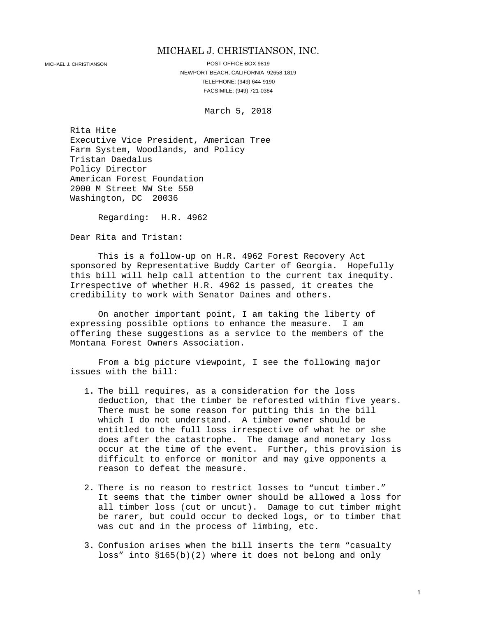#### MICHAEL J. CHRISTIANSON, INC.

MICHAEL J. CHRISTIANSON **POST OFFICE BOX 9819** NEWPORT BEACH, CALIFORNIA 92658-1819 TELEPHONE: (949) 644-9190 FACSIMILE: (949) 721-0384

March 5, 2018

Rita Hite Executive Vice President, American Tree Farm System, Woodlands, and Policy Tristan Daedalus Policy Director American Forest Foundation 2000 M Street NW Ste 550 Washington, DC 20036

Regarding: H.R. 4962

Dear Rita and Tristan:

This is a follow-up on H.R. 4962 Forest Recovery Act sponsored by Representative Buddy Carter of Georgia. Hopefully this bill will help call attention to the current tax inequity. Irrespective of whether H.R. 4962 is passed, it creates the credibility to work with Senator Daines and others.

On another important point, I am taking the liberty of expressing possible options to enhance the measure. I am offering these suggestions as a service to the members of the Montana Forest Owners Association.

From a big picture viewpoint, I see the following major issues with the bill:

- 1. The bill requires, as a consideration for the loss deduction, that the timber be reforested within five years. There must be some reason for putting this in the bill which I do not understand. A timber owner should be entitled to the full loss irrespective of what he or she does after the catastrophe. The damage and monetary loss occur at the time of the event. Further, this provision is difficult to enforce or monitor and may give opponents a reason to defeat the measure.
- 2. There is no reason to restrict losses to "uncut timber." It seems that the timber owner should be allowed a loss for all timber loss (cut or uncut). Damage to cut timber might be rarer, but could occur to decked logs, or to timber that was cut and in the process of limbing, etc.
- 3. Confusion arises when the bill inserts the term "casualty loss" into §165(b)(2) where it does not belong and only

1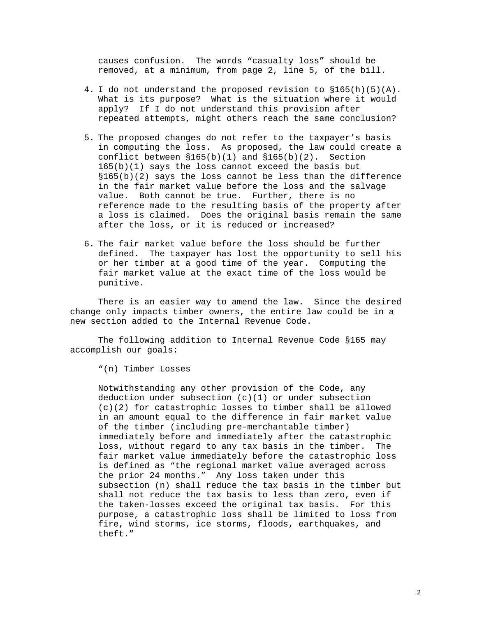causes confusion. The words "casualty loss" should be removed, at a minimum, from page 2, line 5, of the bill.

- 4. I do not understand the proposed revision to §165(h)(5)(A). What is its purpose? What is the situation where it would apply? If I do not understand this provision after repeated attempts, might others reach the same conclusion?
- 5. The proposed changes do not refer to the taxpayer's basis in computing the loss. As proposed, the law could create a conflict between  $$165(b)(1)$  and  $$165(b)(2)$ . Section 165(b)(1) says the loss cannot exceed the basis but §165(b)(2) says the loss cannot be less than the difference in the fair market value before the loss and the salvage value. Both cannot be true. Further, there is no reference made to the resulting basis of the property after a loss is claimed. Does the original basis remain the same after the loss, or it is reduced or increased?
- 6. The fair market value before the loss should be further defined. The taxpayer has lost the opportunity to sell his or her timber at a good time of the year. Computing the fair market value at the exact time of the loss would be punitive.

There is an easier way to amend the law. Since the desired change only impacts timber owners, the entire law could be in a new section added to the Internal Revenue Code.

The following addition to Internal Revenue Code §165 may accomplish our goals:

"(n) Timber Losses

Notwithstanding any other provision of the Code, any deduction under subsection  $(c)(1)$  or under subsection (c)(2) for catastrophic losses to timber shall be allowed in an amount equal to the difference in fair market value of the timber (including pre-merchantable timber) immediately before and immediately after the catastrophic loss, without regard to any tax basis in the timber. The fair market value immediately before the catastrophic loss is defined as "the regional market value averaged across the prior 24 months." Any loss taken under this subsection (n) shall reduce the tax basis in the timber but shall not reduce the tax basis to less than zero, even if the taken-losses exceed the original tax basis. For this purpose, a catastrophic loss shall be limited to loss from fire, wind storms, ice storms, floods, earthquakes, and theft."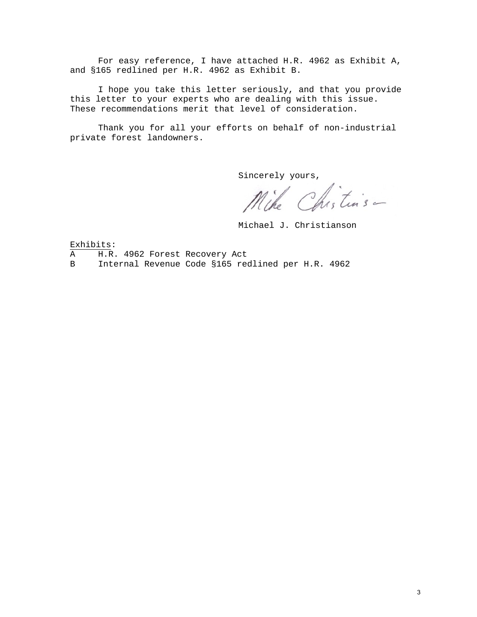For easy reference, I have attached H.R. 4962 as Exhibit A, and §165 redlined per H.R. 4962 as Exhibit B.

I hope you take this letter seriously, and that you provide this letter to your experts who are dealing with this issue. These recommendations merit that level of consideration.

Thank you for all your efforts on behalf of non-industrial private forest landowners.

sincerely yours,<br>Mike Chistins -

Michael J. Christianson

Exhibits:

- A H.R. 4962 Forest Recovery Act<br>B Internal Revenue Code \$165 ree
- B Internal Revenue Code §165 redlined per H.R. 4962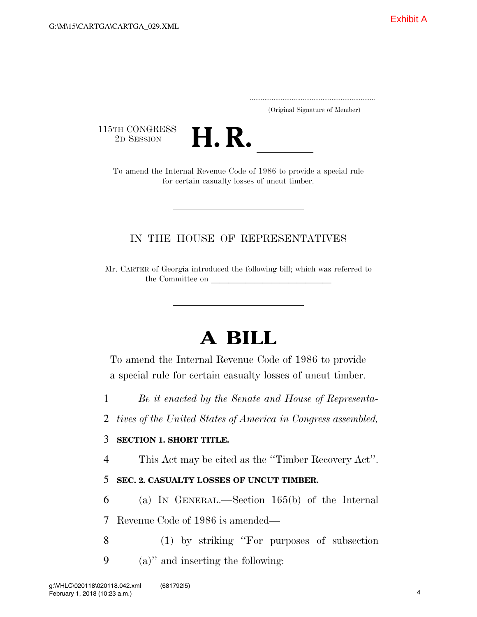.....................................................................

(Original Signature of Member)

115TH CONGRESS<br>2D SESSION



TH CONGRESS<br>
2D SESSION<br>
To amend the Internal Revenue Code of 1986 to provide a special rule for certain casualty losses of uncut timber.

## IN THE HOUSE OF REPRESENTATIVES

Mr. CARTER of Georgia introduced the following bill; which was referred to the Committee on

# **A BILL**

To amend the Internal Revenue Code of 1986 to provide a special rule for certain casualty losses of uncut timber.

1 *Be it enacted by the Senate and House of Representa-*

2 *tives of the United States of America in Congress assembled,* 

## 3 **SECTION 1. SHORT TITLE.**

4 This Act may be cited as the ''Timber Recovery Act''.

## 5 **SEC. 2. CASUALTY LOSSES OF UNCUT TIMBER.**

6 (a) IN GENERAL.—Section 165(b) of the Internal 7 Revenue Code of 1986 is amended—

8 (1) by striking ''For purposes of subsection 9 (a)'' and inserting the following: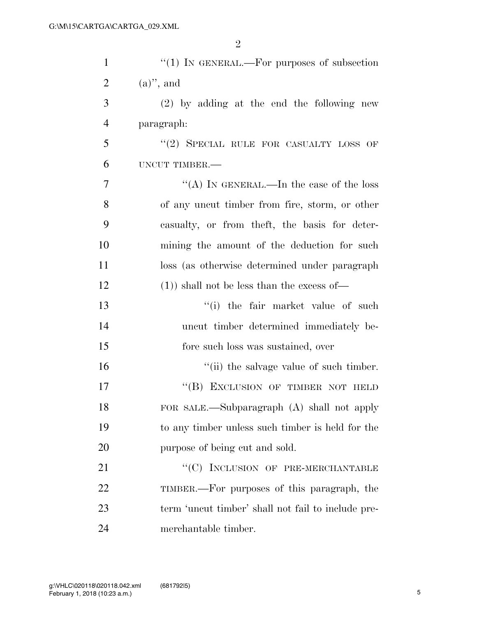2

| $\mathbf{1}$   | "(1) IN GENERAL.—For purposes of subsection        |
|----------------|----------------------------------------------------|
| $\overline{2}$ | $(a)$ ", and                                       |
| 3              | $(2)$ by adding at the end the following new       |
| $\overline{4}$ | paragraph:                                         |
| 5              | "(2) SPECIAL RULE FOR CASUALTY LOSS OF             |
| 6              | UNCUT TIMBER.-                                     |
| $\overline{7}$ | "(A) IN GENERAL.—In the case of the loss           |
| 8              | of any uncut timber from fire, storm, or other     |
| 9              | casualty, or from theft, the basis for deter-      |
| 10             | mining the amount of the deduction for such        |
| 11             | loss (as otherwise determined under paragraph      |
| 12             | $(1)$ ) shall not be less than the excess of       |
| 13             | "(i) the fair market value of such                 |
| 14             | uncut timber determined immediately be-            |
| 15             | fore such loss was sustained, over                 |
| 16             | "(ii) the salvage value of such timber.            |
| 17             | "(B) EXCLUSION OF TIMBER NOT HELD                  |
| 18             | FOR SALE.—Subparagraph (A) shall not apply         |
| 19             | to any timber unless such timber is held for the   |
| 20             | purpose of being cut and sold.                     |
| 21             | $\lq\lq (C)$ INCLUSION OF PRE-MERCHANTABLE         |
| 22             | TIMBER.—For purposes of this paragraph, the        |
| 23             | term 'uncut timber' shall not fail to include pre- |
| 24             | merchantable timber.                               |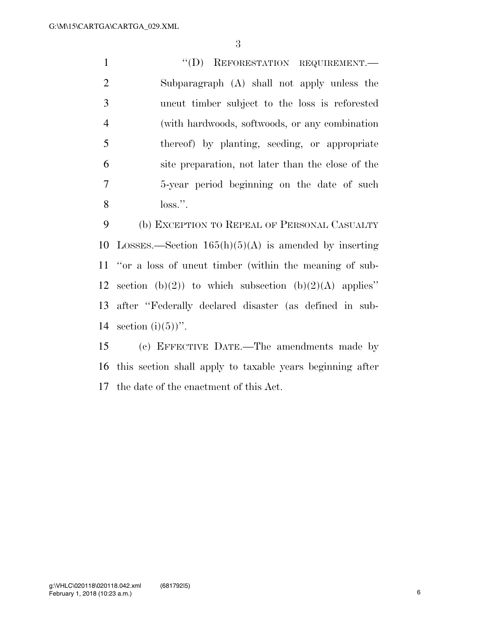$``(D)$  REFORESTATION REQUIREMENT. Subparagraph (A) shall not apply unless the uncut timber subject to the loss is reforested (with hardwoods, softwoods, or any combination thereof) by planting, seeding, or appropriate site preparation, not later than the close of the 5-year period beginning on the date of such loss.''.

 (b) EXCEPTION TO REPEAL OF PERSONAL CASUALTY 10 LOSSES.—Section  $165(h)(5)(A)$  is amended by inserting ''or a loss of uncut timber (within the meaning of sub-12 section (b)(2)) to which subsection (b)(2)(A) applies" after ''Federally declared disaster (as defined in sub-14 section  $(i)(5)$ ".

 (c) EFFECTIVE DATE.—The amendments made by this section shall apply to taxable years beginning after the date of the enactment of this Act.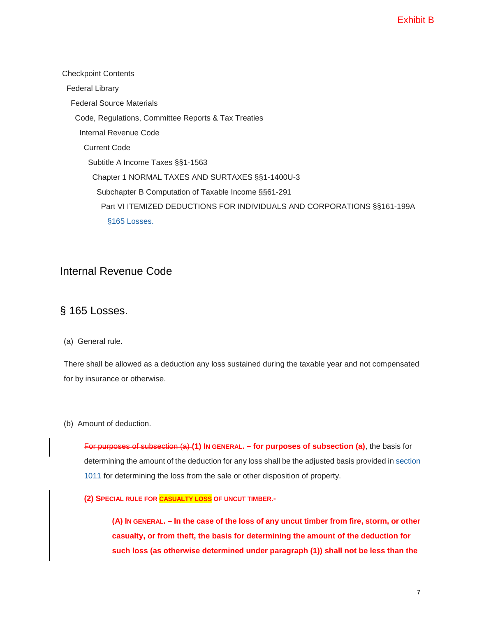Checkpoint Contents Federal Library Federal Source Materials Code, Regulations, Committee Reports & Tax Treaties Internal Revenue Code Current Code Subtitle A Income Taxes §§1-1563 Chapter 1 NORMAL TAXES AND SURTAXES §§1-1400U-3 Subchapter B Computation of Taxable Income §§61-291 Part VI ITEMIZED DEDUCTIONS FOR INDIVIDUALS AND CORPORATIONS §§161-199A [§165 Losses.](https://checkpoint.riag.com/app/find?begParm=y&appVer=17.12&dbName=TCODE&linkType=docloc&locId=165&ods=CODE&permaId=i8ec63cd619d711dcb1a9c7f8ee2eaa77&permaType=doc&tagName=SEC&endParm=y) 

## Internal Revenue Code

## § 165 Losses.

## (a) General rule.

There shall be allowed as a deduction any loss sustained during the taxable year and not compensated for by insurance or otherwise.

## (b) Amount of deduction.

For purposes of [subsection \(a\)](https://checkpoint.riag.com/app/find?begParm=y&app.version=17.12&dbName=TCODE&linkType=docloc&locId=165%28a%29&permaId=i8ec63cd619d711dcb1a9c7f8ee2eaa77&tagName=SBSEC&endParm=y) **(1) IN GENERAL. – for purposes of subsection (a)**, the basis for determining the amount of the deduction for any loss shall be the adjusted basis provided in [section](https://checkpoint.riag.com/app/find?begParm=y&app.version=17.12&dbName=TCODE&linkType=docloc&locId=1011&permaId=ied5c9d4e19d711dcb1a9c7f8ee2eaa77&tagName=SEC&endParm=y)  [1011 f](https://checkpoint.riag.com/app/find?begParm=y&app.version=17.12&dbName=TCODE&linkType=docloc&locId=1011&permaId=ied5c9d4e19d711dcb1a9c7f8ee2eaa77&tagName=SEC&endParm=y)or determining the loss from the sale or other disposition of property.

## **(2) SPECIAL RULE FOR CASUALTY LOSS OF UNCUT TIMBER.-**

**(A) IN GENERAL. – In the case of the loss of any uncut timber from fire, storm, or other casualty, or from theft, the basis for determining the amount of the deduction for such loss (as otherwise determined under paragraph (1)) shall not be less than the**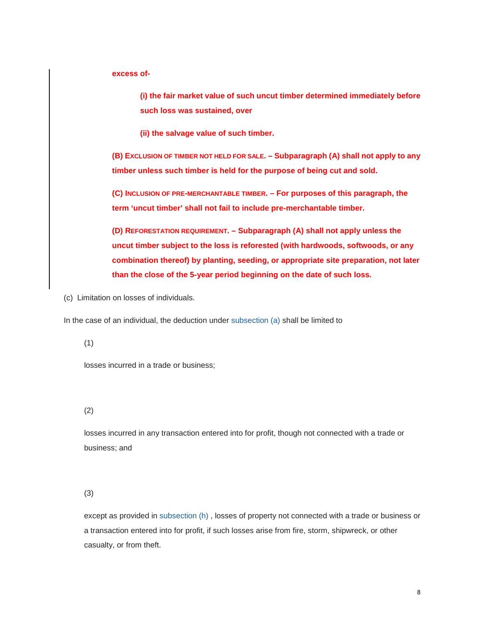**excess of-** 

**(i) the fair market value of such uncut timber determined immediately before such loss was sustained, over**

**(ii) the salvage value of such timber.** 

**(B) EXCLUSION OF TIMBER NOT HELD FOR SALE. – Subparagraph (A) shall not apply to any timber unless such timber is held for the purpose of being cut and sold.**

**(C) INCLUSION OF PRE-MERCHANTABLE TIMBER. – For purposes of this paragraph, the term 'uncut timber' shall not fail to include pre-merchantable timber.**

**(D) REFORESTATION REQUIREMENT. – Subparagraph (A) shall not apply unless the uncut timber subject to the loss is reforested (with hardwoods, softwoods, or any combination thereof) by planting, seeding, or appropriate site preparation, not later than the close of the 5-year period beginning on the date of such loss.**

(c) Limitation on losses of individuals.

In the case of an individual, the deduction under [subsection \(a\) s](https://checkpoint.riag.com/app/find?begParm=y&app.version=17.12&dbName=TCODE&linkType=docloc&locId=165%28a%29&permaId=i8ec63cd619d711dcb1a9c7f8ee2eaa77&tagName=SBSEC&endParm=y)hall be limited to

(1)

losses incurred in a trade or business;

(2)

losses incurred in any transaction entered into for profit, though not connected with a trade or business; and

(3)

except as provided in [subsection \(h\) ,](https://checkpoint.riag.com/app/find?begParm=y&app.version=17.12&dbName=TCODE&linkType=docloc&locId=26uscas165%28h%29&permaId=i8ec63cd619d711dcb1a9c7f8ee2eaa77&tagName=SBSEC&endParm=y) losses of property not connected with a trade or business or a transaction entered into for profit, if such losses arise from fire, storm, shipwreck, or other casualty, or from theft.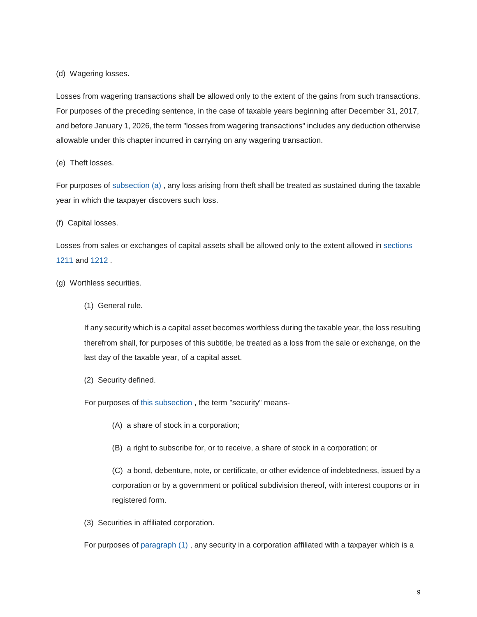(d) Wagering losses.

Losses from wagering transactions shall be allowed only to the extent of the gains from such transactions. For purposes of the preceding sentence, in the case of taxable years beginning after December 31, 2017, and before January 1, 2026, the term "losses from wagering transactions" includes any deduction otherwise allowable under this chapter incurred in carrying on any wagering transaction.

(e) Theft losses.

For purposes of [subsection \(a\) ,](https://checkpoint.riag.com/app/find?begParm=y&app.version=17.12&dbName=TCODE&linkType=docloc&locId=165%28a%29&permaId=i8ec63cd619d711dcb1a9c7f8ee2eaa77&tagName=SBSEC&endParm=y) any loss arising from theft shall be treated as sustained during the taxable year in which the taxpayer discovers such loss.

(f) Capital losses.

Losses from sales or exchanges of capital assets shall be allowed only to the extent allowed in [sections](https://checkpoint.riag.com/app/find?begParm=y&app.version=17.12&dbName=TCODE&linkType=docloc&locId=26uscas1211&permaId=if44898ce19d711dcb1a9c7f8ee2eaa77&tagName=SEC&endParm=y)  [1211 a](https://checkpoint.riag.com/app/find?begParm=y&app.version=17.12&dbName=TCODE&linkType=docloc&locId=26uscas1211&permaId=if44898ce19d711dcb1a9c7f8ee2eaa77&tagName=SEC&endParm=y)nd [1212 .](https://checkpoint.riag.com/app/find?begParm=y&app.version=17.12&dbName=TCODE&linkType=docloc&locId=26uscas1212&permaId=if45aaf6e19d711dcb1a9c7f8ee2eaa77&tagName=SEC&endParm=y)

- (g) Worthless securities.
	- (1) General rule.

If any security which is a capital asset becomes worthless during the taxable year, the loss resulting therefrom shall, for purposes of this subtitle, be treated as a loss from the sale or exchange, on the last day of the taxable year, of a capital asset.

(2) Security defined.

For purposes of [this subsection ,](https://checkpoint.riag.com/app/find?begParm=y&app.version=17.12&dbName=TCODE&linkType=docloc&locId=us_fed_26_usc_165%28g%29&permaId=i8ec63cd619d711dcb1a9c7f8ee2eaa77&tagName=SBSEC&endParm=y) the term "security" means-

- (A) a share of stock in a corporation;
- (B) a right to subscribe for, or to receive, a share of stock in a corporation; or

(C) a bond, debenture, note, or certificate, or other evidence of indebtedness, issued by a corporation or by a government or political subdivision thereof, with interest coupons or in registered form.

(3) Securities in affiliated corporation.

For purposes of [paragraph \(1\) ,](https://checkpoint.riag.com/app/find?begParm=y&app.version=17.12&dbName=TCODE&linkType=docloc&locId=26uscas165%28g%29%281%29&permaId=i8ec63cd619d711dcb1a9c7f8ee2eaa77&tagName=PARA&endParm=y) any security in a corporation affiliated with a taxpayer which is a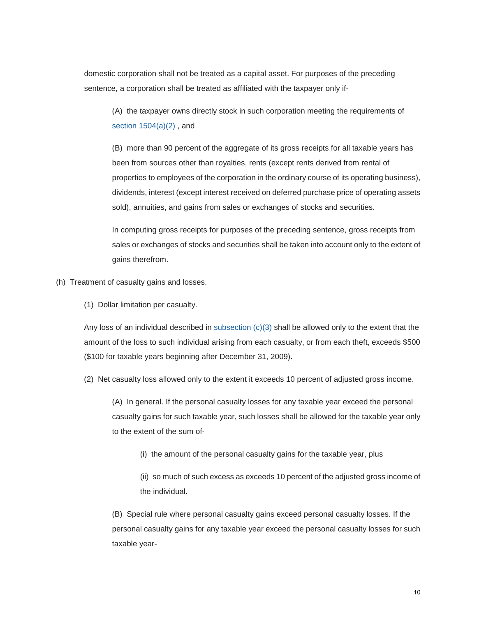domestic corporation shall not be treated as a capital asset. For purposes of the preceding sentence, a corporation shall be treated as affiliated with the taxpayer only if-

(A) the taxpayer owns directly stock in such corporation meeting the requirements of [section 1504\(a\)\(2\) ,](https://checkpoint.riag.com/app/find?begParm=y&app.version=17.12&dbName=TCODE&linkType=docloc&locId=26uscas1504%28a%29%282%29&permaId=i0b550ae819d811dcb1a9c7f8ee2eaa77&tagName=PARA&endParm=y) and

(B) more than 90 percent of the aggregate of its gross receipts for all taxable years has been from sources other than royalties, rents (except rents derived from rental of properties to employees of the corporation in the ordinary course of its operating business), dividends, interest (except interest received on deferred purchase price of operating assets sold), annuities, and gains from sales or exchanges of stocks and securities.

In computing gross receipts for purposes of the preceding sentence, gross receipts from sales or exchanges of stocks and securities shall be taken into account only to the extent of gains therefrom.

- (h) Treatment of casualty gains and losses.
	- (1) Dollar limitation per casualty.

Any loss of an individual described in subsection  $(c)(3)$  shall be allowed only to the extent that the amount of the loss to such individual arising from each casualty, or from each theft, exceeds \$500 (\$100 for taxable years beginning after December 31, 2009).

(2) Net casualty loss allowed only to the extent it exceeds 10 percent of adjusted gross income.

(A) In general. If the personal casualty losses for any taxable year exceed the personal casualty gains for such taxable year, such losses shall be allowed for the taxable year only to the extent of the sum of-

(i) the amount of the personal casualty gains for the taxable year, plus

(ii) so much of such excess as exceeds 10 percent of the adjusted gross income of the individual.

(B) Special rule where personal casualty gains exceed personal casualty losses. If the personal casualty gains for any taxable year exceed the personal casualty losses for such taxable year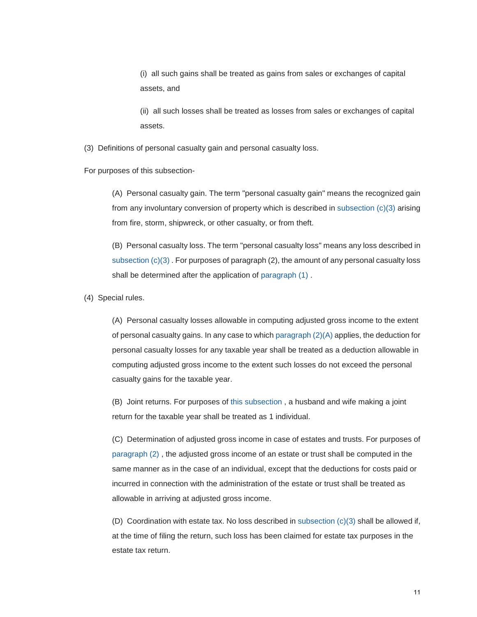(i) all such gains shall be treated as gains from sales or exchanges of capital assets, and

(ii) all such losses shall be treated as losses from sales or exchanges of capital assets.

(3) Definitions of personal casualty gain and personal casualty loss.

For purposes of this subsection-

(A) Personal casualty gain. The term "personal casualty gain" means the recognized gain from any involuntary conversion of property which is described in [subsection \(c\)\(3\) a](https://checkpoint.riag.com/app/find?begParm=y&app.version=17.12&dbName=TCODE&linkType=docloc&locId=165%28c%29%283%29&permaId=i8ec63cd619d711dcb1a9c7f8ee2eaa77&tagName=PARA&endParm=y)rising from fire, storm, shipwreck, or other casualty, or from theft.

(B) Personal casualty loss. The term "personal casualty loss" means any loss described in [subsection \(c\)\(3\) .](https://checkpoint.riag.com/app/find?begParm=y&app.version=17.12&dbName=TCODE&linkType=docloc&locId=165%28c%29%283%29&permaId=i8ec63cd619d711dcb1a9c7f8ee2eaa77&tagName=PARA&endParm=y) For purposes of paragraph (2), the amount of any personal casualty loss shall be determined after the application of [paragraph \(1\) .](https://checkpoint.riag.com/app/find?begParm=y&app.version=17.12&dbName=TCODE&linkType=docloc&locId=26uscas165%28c%29%281%29&permaId=i8ec63cd619d711dcb1a9c7f8ee2eaa77&tagName=PARA&endParm=y)

(4) Special rules.

(A) Personal casualty losses allowable in computing adjusted gross income to the extent of personal casualty gains. In any case to which [paragraph \(2\)\(A\) a](https://checkpoint.riag.com/app/find?begParm=y&app.version=17.12&dbName=TCODE&linkType=docloc&locId=26uscas165%28h%29%282%29%28a%29&permaId=i8ec63cd619d711dcb1a9c7f8ee2eaa77&tagName=SBPARA&endParm=y)pplies, the deduction for personal casualty losses for any taxable year shall be treated as a deduction allowable in computing adjusted gross income to the extent such losses do not exceed the personal casualty gains for the taxable year.

(B) Joint returns. For purposes of [this subsection ,](https://checkpoint.riag.com/app/find?begParm=y&app.version=17.12&dbName=TCODE&linkType=docloc&locId=26uscas165%28h%29&permaId=i8ec63cd619d711dcb1a9c7f8ee2eaa77&tagName=SBSEC&endParm=y) a husband and wife making a joint return for the taxable year shall be treated as 1 individual.

(C) Determination of adjusted gross income in case of estates and trusts. For purposes of [paragraph \(2\) ,](https://checkpoint.riag.com/app/find?begParm=y&app.version=17.12&dbName=TCODE&linkType=docloc&locId=26uscas165%28h%29%282%29&permaId=i8ec63cd619d711dcb1a9c7f8ee2eaa77&tagName=PARA&endParm=y) the adjusted gross income of an estate or trust shall be computed in the same manner as in the case of an individual, except that the deductions for costs paid or incurred in connection with the administration of the estate or trust shall be treated as allowable in arriving at adjusted gross income.

(D) Coordination with estate tax. No loss described in subsection  $(c)(3)$  shall be allowed if, at the time of filing the return, such loss has been claimed for estate tax purposes in the estate tax return.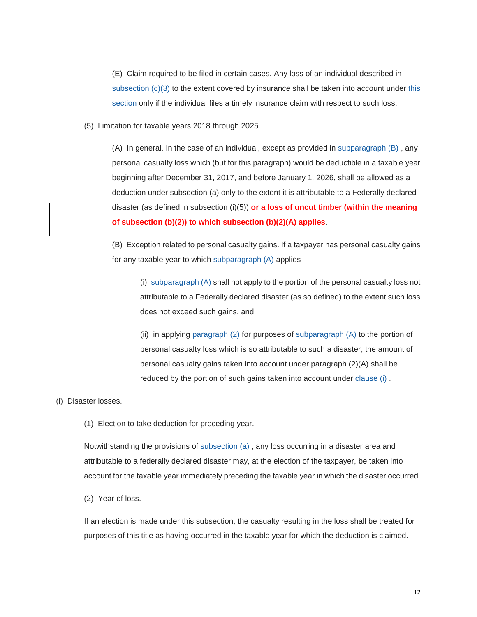(E) Claim required to be filed in certain cases. Any loss of an individual described in subsection  $(c)(3)$  to the extent covered by insurance shall be taken into account under this [section o](https://checkpoint.riag.com/app/find?begParm=y&app.version=17.12&dbName=TCODE&linkType=docloc&locId=165&permaId=i8ec63cd619d711dcb1a9c7f8ee2eaa77&tagName=SEC&endParm=y)nly if the individual files a timely insurance claim with respect to such loss.

(5) Limitation for taxable years 2018 through 2025.

(A) In general. In the case of an individual, except as provided in [subparagraph \(B\) ,](https://checkpoint.riag.com/app/find?begParm=y&app.version=17.12&dbName=TCODE&linkType=docloc&locId=26uscas165%28h%29%285%29%28b%29&permaId=i8ec63cd619d711dcb1a9c7f8ee2eaa77&tagName=SBPARA&endParm=y) any personal casualty loss which (but for this paragraph) would be deductible in a taxable year beginning after December 31, 2017, and before January 1, 2026, shall be allowed as a deduction under subsection (a) only to the extent it is attributable to a Federally declared disaster (as defined in subsection (i)(5)) **or a loss of uncut timber (within the meaning of subsection (b)(2)) to which subsection (b)(2)(A) applies**.

(B) Exception related to personal casualty gains. If a taxpayer has personal casualty gains for any taxable year to which [subparagraph \(A\) a](https://checkpoint.riag.com/app/find?begParm=y&app.version=17.12&dbName=TCODE&linkType=docloc&locId=26uscas165%28h%29%285%29%28a%29&permaId=i8ec63cd619d711dcb1a9c7f8ee2eaa77&tagName=SBPARA&endParm=y)pplies-

(i) [subparagraph \(A\) s](https://checkpoint.riag.com/app/find?begParm=y&app.version=17.12&dbName=TCODE&linkType=docloc&locId=26uscas165%28h%29%285%29%28a%29&permaId=i8ec63cd619d711dcb1a9c7f8ee2eaa77&tagName=SBPARA&endParm=y)hall not apply to the portion of the personal casualty loss not attributable to a Federally declared disaster (as so defined) to the extent such loss does not exceed such gains, and

(ii) in applying [paragraph \(2\) f](https://checkpoint.riag.com/app/find?begParm=y&app.version=17.12&dbName=TCODE&linkType=docloc&locId=26uscas165%28h%29%282%29&permaId=i8ec63cd619d711dcb1a9c7f8ee2eaa77&tagName=PARA&endParm=y)or purposes of [subparagraph \(A\) t](https://checkpoint.riag.com/app/find?begParm=y&app.version=17.12&dbName=TCODE&linkType=docloc&locId=26uscas165%28h%29%282%29%28a%29&permaId=i8ec63cd619d711dcb1a9c7f8ee2eaa77&tagName=SBPARA&endParm=y)o the portion of personal casualty loss which is so attributable to such a disaster, the amount of personal casualty gains taken into account under paragraph (2)(A) shall be reduced by the portion of such gains taken into account under [clause \(i\) .](https://checkpoint.riag.com/app/find?begParm=y&app.version=17.12&dbName=TCODE&linkType=docloc&locId=165%28h%29%285%29%28b%29%28i%29&permaId=i8ec63cd619d711dcb1a9c7f8ee2eaa77&tagName=CL&endParm=y)

(i) Disaster losses.

(1) Election to take deduction for preceding year.

Notwithstanding the provisions of [subsection \(a\) ,](https://checkpoint.riag.com/app/find?begParm=y&app.version=17.12&dbName=TCODE&linkType=docloc&locId=165%28a%29&permaId=i8ec63cd619d711dcb1a9c7f8ee2eaa77&tagName=SBSEC&endParm=y) any loss occurring in a disaster area and attributable to a federally declared disaster may, at the election of the taxpayer, be taken into account for the taxable year immediately preceding the taxable year in which the disaster occurred.

(2) Year of loss.

If an election is made under this subsection, the casualty resulting in the loss shall be treated for purposes of this title as having occurred in the taxable year for which the deduction is claimed.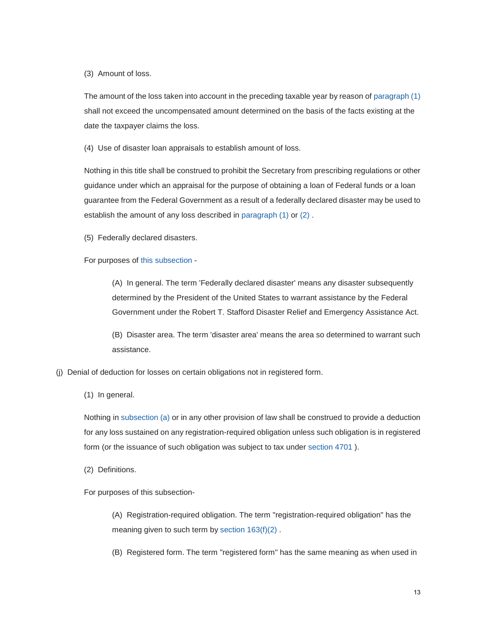(3) Amount of loss.

The amount of the loss taken into account in the preceding taxable year by reason of [paragraph \(1\)](https://checkpoint.riag.com/app/find?begParm=y&app.version=17.12&dbName=TCODE&linkType=docloc&locId=us_fed_26_usc_165%28i%29%281%29&permaId=i8ec63cd619d711dcb1a9c7f8ee2eaa77&tagName=PARA&endParm=y)  shall not exceed the uncompensated amount determined on the basis of the facts existing at the date the taxpayer claims the loss.

(4) Use of disaster loan appraisals to establish amount of loss.

Nothing in this title shall be construed to prohibit the Secretary from prescribing regulations or other guidance under which an appraisal for the purpose of obtaining a loan of Federal funds or a loan guarantee from the Federal Government as a result of a federally declared disaster may be used to establish the amount of any loss described in [paragraph \(1\) o](https://checkpoint.riag.com/app/find?begParm=y&app.version=17.12&dbName=TCODE&linkType=docloc&locId=us_fed_26_usc_165%28i%29%281%29&permaId=i8ec63cd619d711dcb1a9c7f8ee2eaa77&tagName=PARA&endParm=y)r [\(2\) .](https://checkpoint.riag.com/app/find?begParm=y&app.version=17.12&dbName=TCODE&linkType=docloc&locId=us_fed_26_usc_165%28i%29%282%29&permaId=i8ec63cd619d711dcb1a9c7f8ee2eaa77&tagName=PARA&endParm=y)

(5) Federally declared disasters.

For purposes of this [subsection -](https://checkpoint.riag.com/app/find?begParm=y&app.version=17.12&dbName=TCODE&linkType=docloc&locId=us_fed_26_usc_165%28i%29&permaId=i8ec63cd619d711dcb1a9c7f8ee2eaa77&tagName=SBSEC&endParm=y)

(A) In general. The term 'Federally declared disaster' means any disaster subsequently determined by the President of the United States to warrant assistance by the Federal Government under the Robert T. Stafford Disaster Relief and Emergency Assistance Act.

(B) Disaster area. The term 'disaster area' means the area so determined to warrant such assistance.

- (j) Denial of deduction for losses on certain obligations not in registered form.
	- (1) In general.

Nothing in [subsection \(a\) o](https://checkpoint.riag.com/app/find?begParm=y&app.version=17.12&dbName=TCODE&linkType=docloc&locId=165%28a%29&permaId=i8ec63cd619d711dcb1a9c7f8ee2eaa77&tagName=SBSEC&endParm=y)r in any other provision of law shall be construed to provide a deduction for any loss sustained on any registration-required obligation unless such obligation is in registered form (or the issuance of such obligation was subject to tax under [section 4701 \)](https://checkpoint.riag.com/app/find?begParm=y&app.version=17.12&dbName=TCODE&linkType=docloc&locId=26uscas4701&permaId=i2983a7fe19d811dcb1a9c7f8ee2eaa77&tagName=SEC&endParm=y).

(2) Definitions.

For purposes of this subsection-

(A) Registration-required obligation. The term "registration-required obligation" has the meaning given to such term by section  $163(f)(2)$ .

(B) Registered form. The term "registered form" has the same meaning as when used in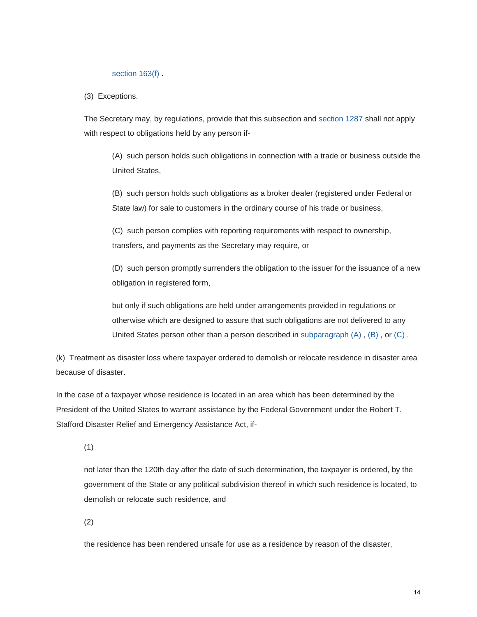#### section 163(f).

(3) Exceptions.

The Secretary may, by regulations, provide that this subsection and [section 1287 s](https://checkpoint.riag.com/app/find?begParm=y&app.version=17.12&dbName=TCODE&linkType=docloc&locId=1287&permaId=ifbd7ba0c19d711dcb1a9c7f8ee2eaa77&tagName=SEC&endParm=y)hall not apply with respect to obligations held by any person if-

(A) such person holds such obligations in connection with a trade or business outside the United States,

(B) such person holds such obligations as a broker dealer (registered under Federal or State law) for sale to customers in the ordinary course of his trade or business,

(C) such person complies with reporting requirements with respect to ownership, transfers, and payments as the Secretary may require, or

(D) such person promptly surrenders the obligation to the issuer for the issuance of a new obligation in registered form,

but only if such obligations are held under arrangements provided in regulations or otherwise which are designed to assure that such obligations are not delivered to any United States person other than a person described in subparagraph  $(A)$ ,  $(B)$ , or  $(C)$ .

(k) Treatment as disaster loss where taxpayer ordered to demolish or relocate residence in disaster area because of disaster.

In the case of a taxpayer whose residence is located in an area which has been determined by the President of the United States to warrant assistance by the Federal Government under the Robert T. Stafford Disaster Relief and Emergency Assistance Act, if-

(1)

not later than the 120th day after the date of such determination, the taxpayer is ordered, by the government of the State or any political subdivision thereof in which such residence is located, to demolish or relocate such residence, and

(2)

the residence has been rendered unsafe for use as a residence by reason of the disaster,

14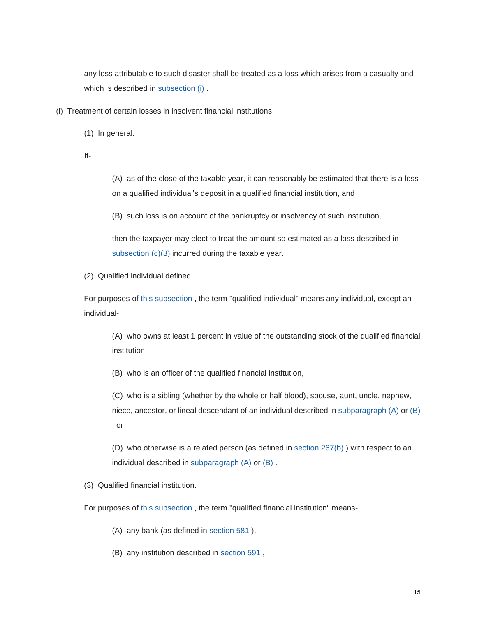any loss attributable to such disaster shall be treated as a loss which arises from a casualty and which is described in [subsection \(i\) .](https://checkpoint.riag.com/app/find?begParm=y&app.version=17.12&dbName=TCODE&linkType=docloc&locId=us_fed_26_usc_165%28i%29&permaId=i8ec63cd619d711dcb1a9c7f8ee2eaa77&tagName=SBSEC&endParm=y)

- (l) Treatment of certain losses in insolvent financial institutions.
	- (1) In general.
	- If-

(A) as of the close of the taxable year, it can reasonably be estimated that there is a loss on a qualified individual's deposit in a qualified financial institution, and

(B) such loss is on account of the bankruptcy or insolvency of such institution,

then the taxpayer may elect to treat the amount so estimated as a loss described in subsection  $(c)(3)$  incurred during the taxable year.

(2) Qualified individual defined.

For purposes of [this subsection ,](https://checkpoint.riag.com/app/find?begParm=y&app.version=17.12&dbName=TCODE&linkType=docloc&locId=26uscas165%28l%29&permaId=i8ec63cd619d711dcb1a9c7f8ee2eaa77&tagName=SBSEC&endParm=y) the term "qualified individual" means any individual, except an individual-

(A) who owns at least 1 percent in value of the outstanding stock of the qualified financial institution,

(B) who is an officer of the qualified financial institution,

(C) who is a sibling (whether by the whole or half blood), spouse, aunt, uncle, nephew, niece, ancestor, or lineal descendant of an individual described in [subparagraph \(A\) o](https://checkpoint.riag.com/app/find?begParm=y&app.version=17.12&dbName=TCODE&linkType=docloc&locId=26uscas165%28l%29%282%29%28a%29&permaId=i8ec63cd619d711dcb1a9c7f8ee2eaa77&tagName=SBPARA&endParm=y)r [\(B\)](https://checkpoint.riag.com/app/find?begParm=y&app.version=17.12&dbName=TCODE&linkType=docloc&locId=26uscas165%28l%29%282%29%28b%29&permaId=i8ec63cd619d711dcb1a9c7f8ee2eaa77&tagName=SBPARA&endParm=y)  , or

(D) who otherwise is a related person (as defined in [section 267\(b\) \)](https://checkpoint.riag.com/app/find?begParm=y&app.version=17.12&dbName=TCODE&linkType=docloc&locId=us_fed_26_usc_267%28b%29&permaId=i9ddfc95819d711dcb1a9c7f8ee2eaa77&tagName=SBSEC&endParm=y) with respect to an individual described in [subparagraph \(A\) o](https://checkpoint.riag.com/app/find?begParm=y&app.version=17.12&dbName=TCODE&linkType=docloc&locId=26uscas165%28l%29%282%29%28a%29&permaId=i8ec63cd619d711dcb1a9c7f8ee2eaa77&tagName=SBPARA&endParm=y)r [\(B\) .](https://checkpoint.riag.com/app/find?begParm=y&app.version=17.12&dbName=TCODE&linkType=docloc&locId=26uscas165%28l%29%282%29%28b%29&permaId=i8ec63cd619d711dcb1a9c7f8ee2eaa77&tagName=SBPARA&endParm=y)

(3) Qualified financial institution.

For purposes of [this subsection ,](https://checkpoint.riag.com/app/find?begParm=y&app.version=17.12&dbName=TCODE&linkType=docloc&locId=26uscas165%28l%29&permaId=i8ec63cd619d711dcb1a9c7f8ee2eaa77&tagName=SBSEC&endParm=y) the term "qualified financial institution" means-

- (A) any bank (as defined in [section 581 \)](https://checkpoint.riag.com/app/find?begParm=y&app.version=17.12&dbName=TCODE&linkType=docloc&locId=581&permaId=ic8b0600c19d711dcb1a9c7f8ee2eaa77&tagName=SEC&endParm=y),
- (B) any institution described in [section 591 ,](https://checkpoint.riag.com/app/find?begParm=y&app.version=17.12&dbName=TCODE&linkType=docloc&locId=26uscas591&permaId=ic942bfe219d711dcb1a9c7f8ee2eaa77&tagName=SEC&endParm=y)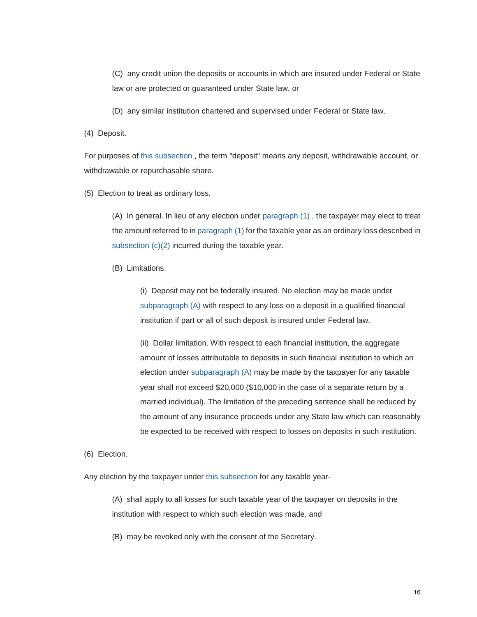(C) any credit union the deposits or accounts in which are insured under Federal or State law or are protected or guaranteed under State law, or

(D) any similar institution chartered and supervised under Federal or State law.

(4) Deposit.

For purposes of [this subsection ,](https://checkpoint.riag.com/app/find?begParm=y&app.version=17.12&dbName=TCODE&linkType=docloc&locId=26uscas165%28l%29&permaId=i8ec63cd619d711dcb1a9c7f8ee2eaa77&tagName=SBSEC&endParm=y) the term "deposit" means any deposit, withdrawable account, or withdrawable or repurchasable share.

(5) Election to treat as ordinary loss.

(A) In general. In lieu of any election under [paragraph \(1\) ,](https://checkpoint.riag.com/app/find?begParm=y&app.version=17.12&dbName=TCODE&linkType=docloc&locId=165%28l%29%281%29&permaId=i8ec63cd619d711dcb1a9c7f8ee2eaa77&tagName=PARA&endParm=y) the taxpayer may elect to treat the amount referred to i[n paragraph \(1\) f](https://checkpoint.riag.com/app/find?begParm=y&app.version=17.12&dbName=TCODE&linkType=docloc&locId=165%28l%29%281%29&permaId=i8ec63cd619d711dcb1a9c7f8ee2eaa77&tagName=PARA&endParm=y)or the taxable year as an ordinary loss described in subsection  $(c)(2)$  incurred during the taxable year.

(B) Limitations.

(i) Deposit may not be federally insured. No election may be made under [subparagraph \(A\) w](https://checkpoint.riag.com/app/find?begParm=y&app.version=17.12&dbName=TCODE&linkType=docloc&locId=165%28l%29%285%29%28a%29&permaId=i8ec63cd619d711dcb1a9c7f8ee2eaa77&tagName=SBPARA&endParm=y)ith respect to any loss on a deposit in a qualified financial institution if part or all of such deposit is insured under Federal law.

(ii) Dollar limitation. With respect to each financial institution, the aggregate amount of losses attributable to deposits in such financial institution to which an election under [subparagraph \(A\) m](https://checkpoint.riag.com/app/find?begParm=y&app.version=17.12&dbName=TCODE&linkType=docloc&locId=165%28l%29%285%29%28a%29&permaId=i8ec63cd619d711dcb1a9c7f8ee2eaa77&tagName=SBPARA&endParm=y)ay be made by the taxpayer for any taxable year shall not exceed \$20,000 (\$10,000 in the case of a separate return by a married individual). The limitation of the preceding sentence shall be reduced by the amount of any insurance proceeds under any State law which can reasonably be expected to be received with respect to losses on deposits in such institution.

(6) Election.

Any election by the taxpayer under [this subsection f](https://checkpoint.riag.com/app/find?begParm=y&app.version=17.12&dbName=TCODE&linkType=docloc&locId=26uscas165%28l%29&permaId=i8ec63cd619d711dcb1a9c7f8ee2eaa77&tagName=SBSEC&endParm=y)or any taxable year-

(A) shall apply to all losses for such taxable year of the taxpayer on deposits in the institution with respect to which such election was made, and

(B) may be revoked only with the consent of the Secretary.